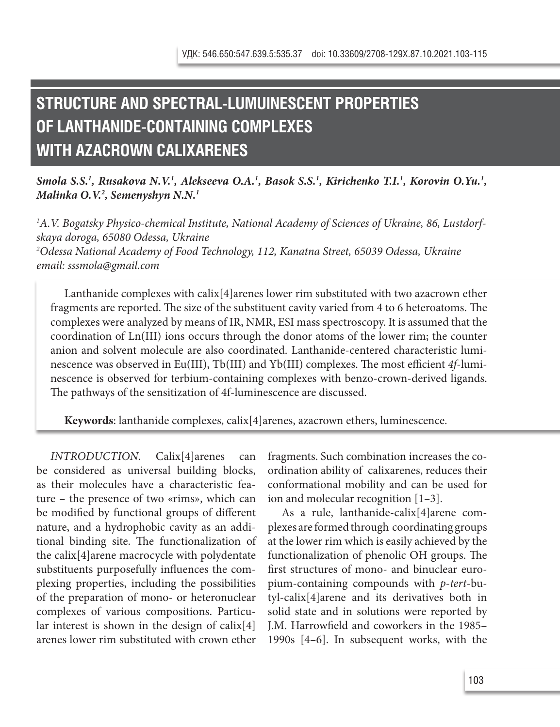## **STRUCTURE AND SPECTRAL-LUMUINESCENT PROPERTIES OF LANTHANIDE-CONTAINING COMPLEXES WITH AZACROWN CALIXARENES**

## *Smola S.S.<sup>1</sup>, Rusakova N.V.<sup>1</sup>, Alekseeva O.A.<sup>1</sup>, Basok S.S.<sup>1</sup>, Kirichenko T.I.<sup>1</sup>, Korovin O.Yu.<sup>1</sup>, Malinka O.V.2 , Semenyshyn N.N.1*

*1 A.V. Bogatsky Physico-chemical Institute, National Academy of Sciences of Ukraine, 86, Lustdorfskaya doroga, 65080 Odessa, Ukraine 2 Odessa National Academy of Food Technology, 112, Kanatna Street, 65039 Odessa, Ukraine*

*email: sssmola@gmail.com*

Lanthanide complexes with calix[4]arenes lower rim substituted with two azacrown ether fragments are reported. The size of the substituent cavity varied from 4 to 6 heteroatoms. The complexes were analyzed by means of IR, NMR, ESI mass spectroscopy. It is assumed that the coordination of Ln(III) ions occurs through the donor atoms of the lower rim; the counter anion and solvent molecule are also coordinated. Lanthanide-centered characteristic luminescence was observed in Eu(III), Tb(III) and Yb(III) complexes. The most efficient *4f*-luminescence is observed for terbium-containing complexes with benzo-crown-derived ligands. The pathways of the sensitization of 4f-luminescence are discussed.

**Keywords**: lanthanide complexes, calix[4]arenes, azacrown ethers, luminescence.

*INTRODUCTION.* Calix[4]arenes can be considered as universal building blocks, as their molecules have a characteristic feature – the presence of two «rims», which can be modified by functional groups of different nature, and a hydrophobic cavity as an additional binding site. The functionalization of the calix[4]arene macrocycle with polydentate substituents purposefully influences the complexing properties, including the possibilities of the preparation of mono- or heteronuclear complexes of various compositions. Particular interest is shown in the design of calix[4] arenes lower rim substituted with crown ether fragments. Such combination increases the coordination ability of calixarenes, reduces their conformational mobility and can be used for ion and molecular recognition [1–3].

As a rule, lanthanide-calix[4]arene complexes are formed through coordinating groups at the lower rim which is easily achieved by the functionalization of phenolic OH groups. The first structures of mono- and binuclear europium-containing compounds with *p*-*tert*-butyl-calix[4]arene and its derivatives both in solid state and in solutions were reported by J.M. Harrowfield and coworkers in the 1985– 1990s [4–6]. In subsequent works, with the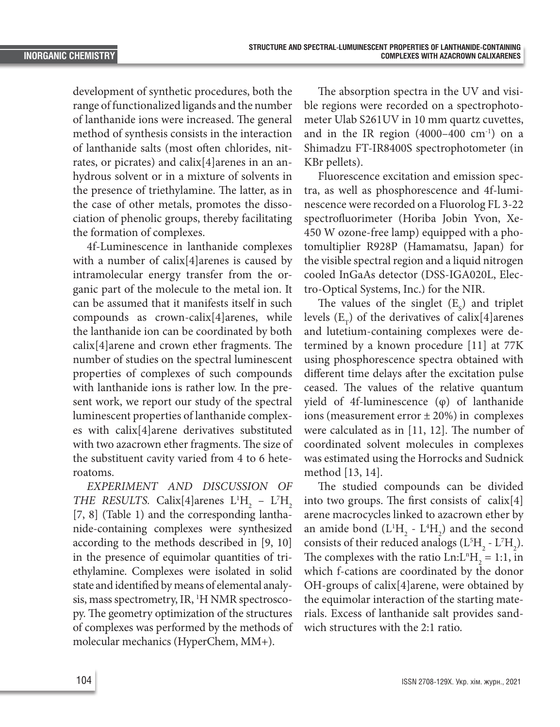development of synthetic procedures, both the range of functionalized ligands and the number of lanthanide ions were increased. The general method of synthesis consists in the interaction of lanthanide salts (most often chlorides, nitrates, or picrates) and calix[4]arenes in an anhydrous solvent or in a mixture of solvents in the presence of triethylamine. The latter, as in the case of other metals, promotes the dissociation of phenolic groups, thereby facilitating the formation of complexes.

4f-Luminescence in lanthanide complexes with a number of calix[4]arenes is caused by intramolecular energy transfer from the organic part of the molecule to the metal ion. It can be assumed that it manifests itself in such compounds as crown-calix[4]arenes, while the lanthanide ion can be coordinated by both calix[4]arene and crown ether fragments. The number of studies on the spectral luminescent properties of complexes of such compounds with lanthanide ions is rather low. In the present work, we report our study of the spectral luminescent properties of lanthanide complexes with calix[4]arene derivatives substituted with two azacrown ether fragments. The size of the substituent cavity varied from 4 to 6 heteroatoms.

*EXPERIMENT AND DISCUSSION OF THE RESULTS.* Calix[4]arenes  $L^1H_2 - L^2H_2$ [7, 8] (Table 1) and the corresponding lanthanide-containing complexes were synthesized according to the methods described in [9, 10] in the presence of equimolar quantities of triethylamine. Complexes were isolated in solid state and identified by means of elemental analysis, mass spectrometry, IR, <sup>1</sup>H NMR spectroscopy. The geometry optimization of the structures of complexes was performed by the methods of molecular mechanics (HyperChem, MM+).

The absorption spectra in the UV and visible regions were recorded on a spectrophotometer Ulab S261UV in 10 mm quartz cuvettes, and in the IR region  $(4000-400 \text{ cm}^{-1})$  on a Shimadzu FT-IR8400S spectrophotometer (in KBr pellets).

Fluorescence excitation and emission spectra, as well as phosphorescence and 4f-luminescence were recorded on a Fluorolog FL 3-22 spectrofluorimeter (Horiba Jobin Yvon, Xe-450 W ozone-free lamp) equipped with a photomultiplier R928P (Hamamatsu, Japan) for the visible spectral region and a liquid nitrogen cooled InGaAs detector (DSS-IGA020L, Electro-Optical Systems, Inc.) for the NIR.

The values of the singlet  $(E_s)$  and triplet levels  $(E_T)$  of the derivatives of calix[4]arenes and lutetium-containing complexes were determined by a known procedure [11] at 77K using phosphorescence spectra obtained with different time delays after the excitation pulse ceased. The values of the relative quantum yield of 4f-luminescence (φ) of lanthanide ions (measurement error ± 20%) in complexes were calculated as in [11, 12]. The number of coordinated solvent molecules in complexes was estimated using the Horrocks and Sudnick method [13, 14].

The studied compounds can be divided into two groups. The first consists of calix[4] arene macrocycles linked to azacrown ether by an amide bond  $(L<sup>1</sup>H<sub>2</sub> - L<sup>4</sup>H<sub>2</sub>)$  and the second consists of their reduced analogs ( $L^5H_2$  -  $L^7H_2$ ). The complexes with the ratio  $Ln: L<sup>n</sup>H<sub>2</sub> = 1:1$ , in which f-cations are coordinated by the donor OH-groups of calix[4]arene, were obtained by the equimolar interaction of the starting materials. Excess of lanthanide salt provides sandwich structures with the 2:1 ratio.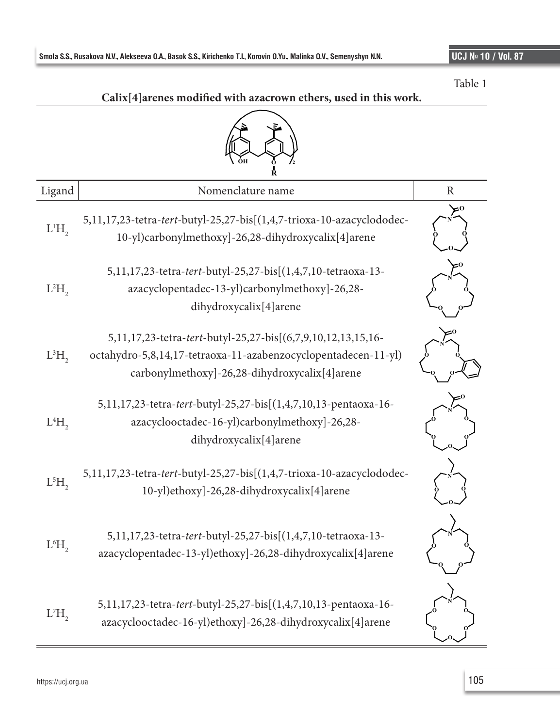Table 1



|          | R                                                                                                                                                                               |              |
|----------|---------------------------------------------------------------------------------------------------------------------------------------------------------------------------------|--------------|
| Ligand   | Nomenclature name                                                                                                                                                               | $\mathbb{R}$ |
| $L^1H$ , | 5,11,17,23-tetra-tert-butyl-25,27-bis[(1,4,7-trioxa-10-azacyclododec-<br>10-yl)carbonylmethoxy]-26,28-dihydroxycalix[4]arene                                                    |              |
| $L^2H$   | 5,11,17,23-tetra-tert-butyl-25,27-bis[(1,4,7,10-tetraoxa-13-<br>azacyclopentadec-13-yl)carbonylmethoxy]-26,28-<br>dihydroxycalix[4]arene                                        |              |
| $L^3H$   | 5,11,17,23-tetra-tert-butyl-25,27-bis[(6,7,9,10,12,13,15,16-<br>octahydro-5,8,14,17-tetraoxa-11-azabenzocyclopentadecen-11-yl)<br>carbonylmethoxy]-26,28-dihydroxycalix[4]arene |              |
| $L^4H$ , | 5,11,17,23-tetra-tert-butyl-25,27-bis[(1,4,7,10,13-pentaoxa-16-<br>azacyclooctadec-16-yl)carbonylmethoxy]-26,28-<br>dihydroxycalix[4]arene                                      |              |
| $L^5H$   | 5,11,17,23-tetra-tert-butyl-25,27-bis[(1,4,7-trioxa-10-azacyclododec-<br>10-yl)ethoxy]-26,28-dihydroxycalix[4]arene                                                             |              |
| $L^6H$ , | 5,11,17,23-tetra-tert-butyl-25,27-bis[(1,4,7,10-tetraoxa-13-<br>azacyclopentadec-13-yl)ethoxy]-26,28-dihydroxycalix[4]arene                                                     |              |
| $L^7H$ , | 5,11,17,23-tetra-tert-butyl-25,27-bis[(1,4,7,10,13-pentaoxa-16-<br>azacyclooctadec-16-yl)ethoxy]-26,28-dihydroxycalix[4]arene                                                   |              |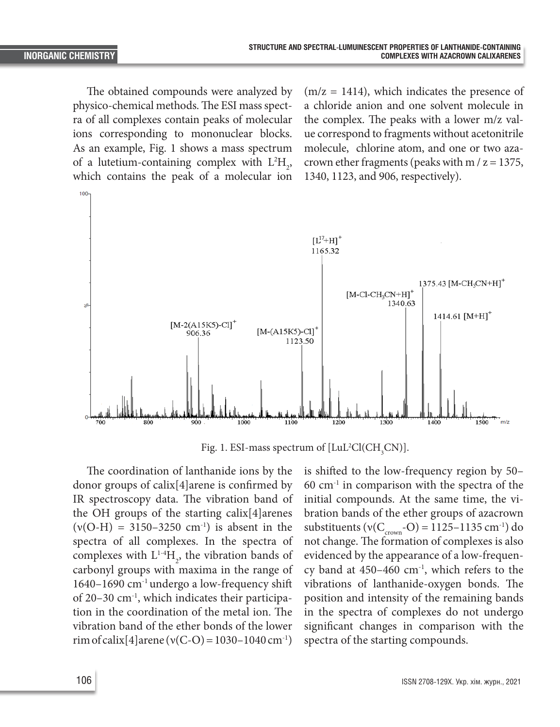The obtained compounds were analyzed by physico-chemical methods. The ESI mass spectra of all complexes contain peaks of molecular ions corresponding to mononuclear blocks. As an example, Fig. 1 shows a mass spectrum of a lutetium-containing complex with  $L^2H_2$ , which contains the peak of a molecular ion

 $(m/z = 1414)$ , which indicates the presence of a chloride anion and one solvent molecule in the complex. The peaks with a lower m/z value correspond to fragments without acetonitrile molecule, chlorine atom, and one or two azacrown ether fragments (peaks with  $m / z = 1375$ , 1340, 1123, and 906, respectively).



Fig. 1. ESI-mass spectrum of  $[\text{LuL}^2\text{Cl}(\text{CH}_3\text{CN})]$ .

The coordination of lanthanide ions by the donor groups of calix[4]arene is confirmed by IR spectroscopy data. The vibration band of the OH groups of the starting calix[4]arenes  $(v(O-H) = 3150-3250 \text{ cm}^{-1})$  is absent in the spectra of all complexes. In the spectra of complexes with  $L^{1.4}H_2$ , the vibration bands of carbonyl groups with maxima in the range of 1640–1690 cm-1 undergo a low-frequency shift of 20–30 cm-1, which indicates their participation in the coordination of the metal ion. The vibration band of the ether bonds of the lower rim of calix[4]arene ( $v(C-O) = 1030-1040$  cm<sup>-1</sup>)

is shifted to the low-frequency region by 50–  $60 \text{ cm}^{-1}$  in comparison with the spectra of the initial compounds. At the same time, the vibration bands of the ether groups of azacrown substituents ( $v(C_{\text{crown}}-O) = 1125-1135 \text{ cm}^{-1}$ ) do not change. The formation of complexes is also evidenced by the appearance of a low-frequency band at  $450-460$  cm<sup>-1</sup>, which refers to the vibrations of lanthanide-oxygen bonds. The position and intensity of the remaining bands in the spectra of complexes do not undergo significant changes in comparison with the spectra of the starting compounds.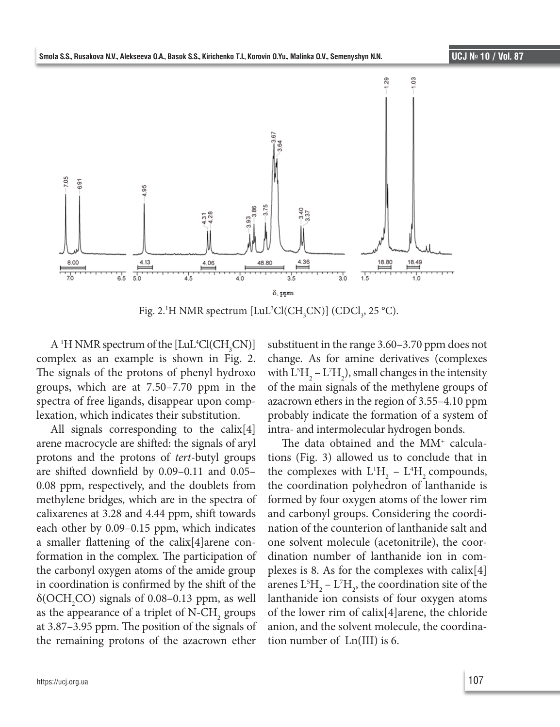

Fig. 2.<sup>1</sup>H NMR spectrum [LuL<sup>3</sup>Cl(CH<sub>3</sub>CN)] (CDCl<sub>3</sub>, 25 °C).

 $A<sup>1</sup>H NMR spectrum of the [LuL<sup>4</sup>Cl(CH<sub>3</sub>CN)]$ complex as an example is shown in Fig. 2. The signals of the protons of phenyl hydroxo groups, which are at 7.50–7.70 ppm in the spectra of free ligands, disappear upon complexation, which indicates their substitution.

All signals corresponding to the calix[4] arene macrocycle are shifted: the signals of aryl protons and the protons of *tert*-butyl groups are shifted downfield by 0.09–0.11 and 0.05– 0.08 ppm, respectively, and the doublets from methylene bridges, which are in the spectra of calixarenes at 3.28 and 4.44 ppm, shift towards each other by 0.09–0.15 ppm, which indicates a smaller flattening of the calix[4]arene conformation in the complex. The participation of the carbonyl oxygen atoms of the amide group in coordination is confirmed by the shift of the  $\delta({\rm OCH}_2{\rm CO})$  signals of 0.08–0.13 ppm, as well as the appearance of a triplet of  $N\text{-CH}_2$  groups at 3.87–3.95 ppm. The position of the signals of the remaining protons of the azacrown ether

substituent in the range 3.60–3.70 ppm does not change. As for amine derivatives (complexes with  $L^5H_2 - L^7H_2$ ), small changes in the intensity of the main signals of the methylene groups of azacrown ethers in the region of 3.55–4.10 ppm probably indicate the formation of a system of intra- and intermolecular hydrogen bonds.

The data obtained and the MM<sup>+</sup> calculations (Fig. 3) allowed us to conclude that in the complexes with  $L^1H_2$  –  $L^4H_2$  compounds, the coordination polyhedron of lanthanide is formed by four oxygen atoms of the lower rim and carbonyl groups. Considering the coordination of the counterion of lanthanide salt and one solvent molecule (acetonitrile), the coordination number of lanthanide ion in complexes is 8. As for the complexes with calix[4] arenes  $L^{5}H_{2}$  –  $L^{7}H_{2}$ , the coordination site of the lanthanide ion consists of four oxygen atoms of the lower rim of calix[4]arene, the chloride anion, and the solvent molecule, the coordination number of Ln(III) is 6.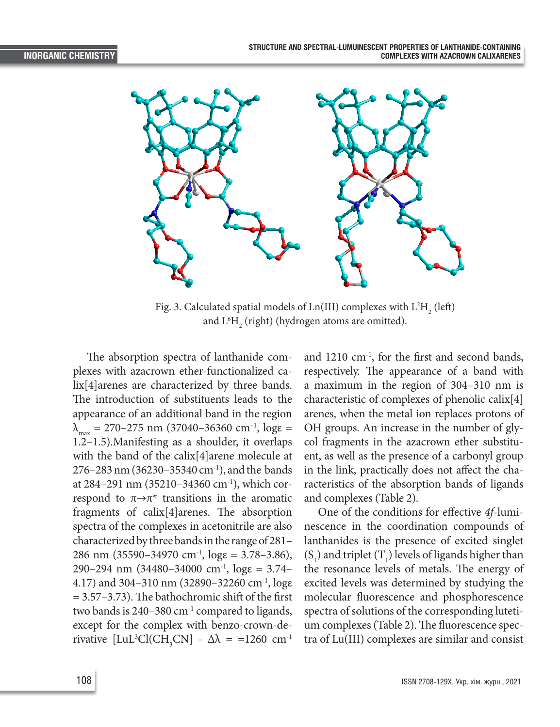

Fig. 3. Calculated spatial models of Ln(III) complexes with  $L^2\mathrm{H}_{2}^{\phantom{\dag}}$  (left) and  $\text{L}^6\text{H}_2^{\phantom i}$  (right) (hydrogen atoms are omitted).

The absorption spectra of lanthanide complexes with azacrown ether-functionalized calix[4]arenes are characterized by three bands. The introduction of substituents leads to the appearance of an additional band in the region  $\lambda_{\text{max}} = 270 - 275 \text{ nm}$  (37040-36360 cm<sup>-1</sup>, log = 1.2–1.5).Manifesting as a shoulder, it overlaps with the band of the calix[4]arene molecule at 276–283 nm (36230–35340 cm-1), and the bands at 284–291 nm (35210–34360 cm-1), which correspond to  $\pi \rightarrow \pi^*$  transitions in the aromatic fragments of calix[4]arenes. The absorption spectra of the complexes in acetonitrile are also characterized by three bands in the range of 281– 286 nm (35590–34970 cm<sup>-1</sup>,  $\log \epsilon = 3.78 - 3.86$ ), 290–294 nm  $(34480-34000 \text{ cm}^{-1}, \text{log}\epsilon = 3.74-$ 4.17) and 304–310 nm (32890–32260 cm-1, logε  $= 3.57 - 3.73$ . The bathochromic shift of the first two bands is  $240-380$  cm<sup>-1</sup> compared to ligands, except for the complex with benzo-crown-derivative  $[LuL^3Cl(CH_3CN] - \Delta\lambda = 1260 \text{ cm}^{-1}$ 

and  $1210 \text{ cm}^{-1}$ , for the first and second bands, respectively. The appearance of a band with a maximum in the region of 304–310 nm is characteristic of complexes of phenolic calix[4] arenes, when the metal ion replaces protons of OH groups. An increase in the number of glycol fragments in the azacrown ether substituent, as well as the presence of a carbonyl group in the link, practically does not affect the characteristics of the absorption bands of ligands and complexes (Table 2).

One of the conditions for effective *4f*-luminescence in the coordination compounds of lanthanides is the presence of excited singlet  $(S_1)$  and triplet  $(T_1)$  levels of ligands higher than the resonance levels of metals. The energy of excited levels was determined by studying the molecular fluorescence and phosphorescence spectra of solutions of the corresponding lutetium complexes (Table 2). The fluorescence spectra of Lu(III) complexes are similar and consist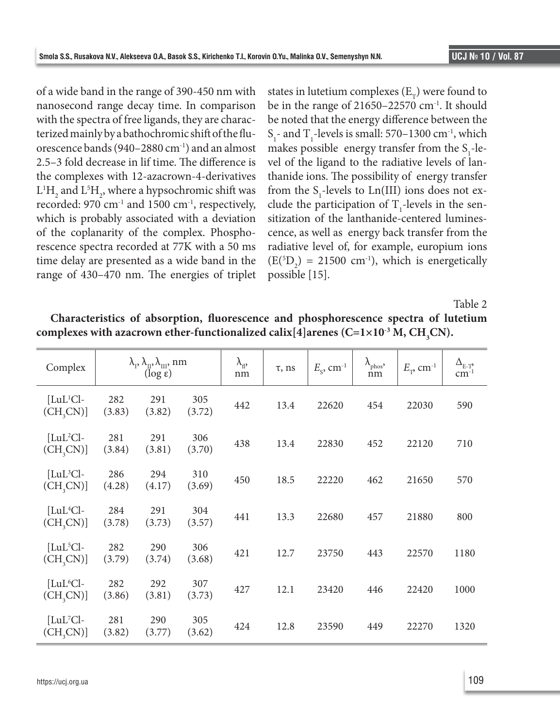of a wide band in the range of 390-450 nm with nanosecond range decay time. In comparison with the spectra of free ligands, they are characterized mainly by a bathochromic shift of the fluorescence bands (940–2880 cm-1) and an almost 2.5–3 fold decrease in lif time. The difference is the complexes with 12-azacrown-4-derivatives  $L^1H_2$  and  $L^5H_2$ , where a hypsochromic shift was recorded: 970 cm<sup>-1</sup> and 1500 cm<sup>-1</sup>, respectively, which is probably associated with a deviation of the coplanarity of the complex. Phosphorescence spectra recorded at 77K with a 50 ms time delay are presented as a wide band in the range of 430–470 nm. The energies of triplet

states in lutetium complexes  $(E_{\tau})$  were found to be in the range of 21650–22570 cm-1. It should be noted that the energy difference between the  $S_1$ - and T<sub>1</sub>-levels is small: 570–1300 cm<sup>-1</sup>, which makes possible energy transfer from the  $S_1$ -level of the ligand to the radiative levels of lanthanide ions. The possibility of energy transfer from the  $S_1$ -levels to  $Ln(III)$  ions does not exclude the participation of  $T_1$ -levels in the sensitization of the lanthanide-centered luminescence, as well as energy back transfer from the radiative level of, for example, europium ions  $(E(^{5}D_2) = 21500$  cm<sup>-1</sup>), which is energetically possible [15].

Table 2

| Complex                            |               | $\lambda_{\rm p}, \lambda_{\rm m}, \lambda_{\rm m}$ , nm<br>$(\log \epsilon)$ |               | $\lambda_{\rm fl}$<br>nm | $\tau$ , ns | $E_{\rm c}$ , cm <sup>-1</sup> | $\lambda_{\text{phos}}$<br>nm | $E_{\tau}$ , cm <sup>-1</sup> | $\Delta_{\text{E-T}_1^2}$<br>$cm^{-1}$ |
|------------------------------------|---------------|-------------------------------------------------------------------------------|---------------|--------------------------|-------------|--------------------------------|-------------------------------|-------------------------------|----------------------------------------|
| $[LuL1Cl-$<br>(CH <sub>3</sub> CN) | 282<br>(3.83) | 291<br>(3.82)                                                                 | 305<br>(3.72) | 442                      | 13.4        | 22620                          | 454                           | 22030                         | 590                                    |
| $[LuL2Cl-$<br>(CH <sub>3</sub> CN) | 281<br>(3.84) | 291<br>(3.81)                                                                 | 306<br>(3.70) | 438                      | 13.4        | 22830                          | 452                           | 22120                         | 710                                    |
| $[LuL3Cl-$<br>(CH <sub>3</sub> CN) | 286<br>(4.28) | 294<br>(4.17)                                                                 | 310<br>(3.69) | 450                      | 18.5        | 22220                          | 462                           | 21650                         | 570                                    |
| $[LuL4Cl-$<br>(CH <sub>3</sub> CN) | 284<br>(3.78) | 291<br>(3.73)                                                                 | 304<br>(3.57) | 441                      | 13.3        | 22680                          | 457                           | 21880                         | 800                                    |
| $[LuL5Cl-$<br>(CH, CN)             | 282<br>(3.79) | 290<br>(3.74)                                                                 | 306<br>(3.68) | 421                      | 12.7        | 23750                          | 443                           | 22570                         | 1180                                   |
| $[LuL6Cl-$<br>(CH <sub>3</sub> CN) | 282<br>(3.86) | 292<br>(3.81)                                                                 | 307<br>(3.73) | 427                      | 12.1        | 23420                          | 446                           | 22420                         | 1000                                   |
| $[LuL7Cl-$<br>(CH, CN)             | 281<br>(3.82) | 290<br>(3.77)                                                                 | 305<br>(3.62) | 424                      | 12.8        | 23590                          | 449                           | 22270                         | 1320                                   |

**Characteristics of absorption, fluorescence and phosphorescence spectra of lutetium**   $\mathbf{complexes\ with\ a\ azarown\ when\ other\ function\ all\ zed\ calix[4] arenes\ (C=1\times 10^{-3}\ M,\ CH_{3}CN).}$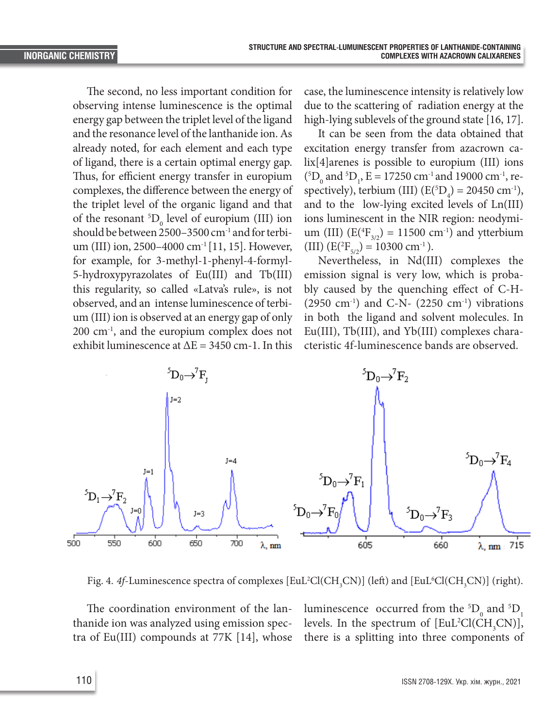The second, no less important condition for observing intense luminescence is the optimal energy gap between the triplet level of the ligand and the resonance level of the lanthanide ion. As already noted, for each element and each type of ligand, there is a certain optimal energy gap. Thus, for efficient energy transfer in europium complexes, the difference between the energy of the triplet level of the organic ligand and that of the resonant  ${}^5D_0$  level of europium (III) ion should be between 2500–3500 cm-1 and for terbium (III) ion, 2500–4000 cm-1 [11, 15]. However, for example, for 3-methyl-1-phenyl-4-formyl-5-hydroxypyrazolates of Eu(III) and Tb(III) this regularity, so called «Latva's rule», is not observed, and an intense luminescence of terbium (III) ion is observed at an energy gap of only 200 cm-1, and the europium complex does not exhibit luminescence at  $\Delta E = 3450$  cm-1. In this

case, the luminescence intensity is relatively low due to the scattering of radiation energy at the high-lying sublevels of the ground state [16, 17].

It can be seen from the data obtained that excitation energy transfer from azacrown calix[4]arenes is possible to europium (III) ions  ${}^{5}D_{0}$  and  ${}^{5}D_{1}$ , E = 17250 cm<sup>-1</sup> and 19000 cm<sup>-1</sup>, respectively), terbium (III)  $(E({}^{5}D_{4}) = 20450$  cm<sup>-1</sup>), and to the low-lying excited levels of Ln(III) ions luminescent in the NIR region: neodymium (III)  $(E(^{4}F_{3/2}) = 11500$  cm<sup>-1</sup>) and ytterbium (III)  $(E(^{2}F_{5/2}) = 10300 \text{ cm}^{-1}).$ 

Nevertheless, in Nd(III) complexes the emission signal is very low, which is probably caused by the quenching effect of C-H-  $(2950 \text{ cm}^{-1})$  and C-N-  $(2250 \text{ cm}^{-1})$  vibrations in both the ligand and solvent molecules. In Eu(III), Tb(III), and Yb(III) complexes characteristic 4f-luminescence bands are observed.



Fig. 4. 4f-Luminescence spectra of complexes [EuL<sup>2</sup>Cl(CH<sub>3</sub>CN)] (left) and [EuL<sup>6</sup>Cl(CH<sub>3</sub>CN)] (right).

The coordination environment of the lanthanide ion was analyzed using emission spectra of Eu(III) compounds at 77K [14], whose

luminescence occurred from the  ${}^5D_0$  and  ${}^5D_1$ levels. In the spectrum of  $[EuL^2Cl(CH_3CN)]$ , there is a splitting into three components of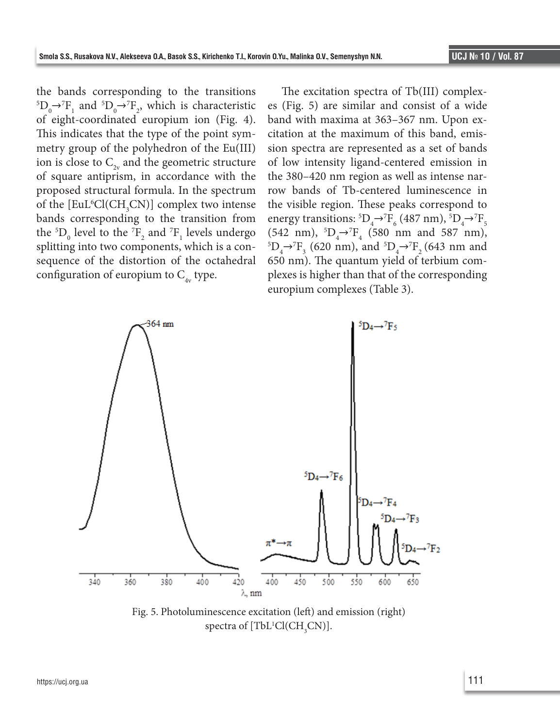the bands corresponding to the transitions  ${}^5D_0 \rightarrow {}^7F_1$  and  ${}^5D_0 \rightarrow {}^7F_2$ , which is characteristic of eight-coordinated europium ion (Fig. 4). This indicates that the type of the point symmetry group of the polyhedron of the Eu(III) ion is close to  $C_{2v}$  and the geometric structure of square antiprism, in accordance with the proposed structural formula. In the spectrum of the  $[EuL<sup>6</sup>Cl(CH<sub>3</sub>CN)]$  complex two intense bands corresponding to the transition from the  ${}^{5}D_{0}$  level to the  ${}^{7}F_{2}$  and  ${}^{7}F_{1}$  levels undergo splitting into two components, which is a consequence of the distortion of the octahedral configuration of europium to  $C_{4v}$  type.

The excitation spectra of Tb(III) complexes (Fig. 5) are similar and consist of a wide band with maxima at 363–367 nm. Upon excitation at the maximum of this band, emission spectra are represented as a set of bands of low intensity ligand-centered emission in the 380–420 nm region as well as intense narrow bands of Tb-centered luminescence in the visible region. These peaks correspond to energy transitions:  ${}^5D_4 \rightarrow {}^7F_6$  (487 nm),  ${}^5D_4 \rightarrow {}^7F_5$  $(542 \text{ nm}), \, ^5D_4 \rightarrow ^7F_4$  (580 nm and 587 nm),<br> $^{5D} \rightarrow ^7F$  (620 nm) and  $^{5D} \rightarrow ^7F$  (643 nm and  $D_4 \rightarrow {}^7F_3$  (620 nm), and  ${}^5D_4 \rightarrow {}^7F_2$  (643 nm and 650 nm). The quantum yield of terbium complexes is higher than that of the corresponding europium complexes (Table 3).



Fig. 5. Photoluminescence excitation (left) and emission (right) spectra of [TbL<sup>1</sup>Cl(CH<sub>3</sub>CN)].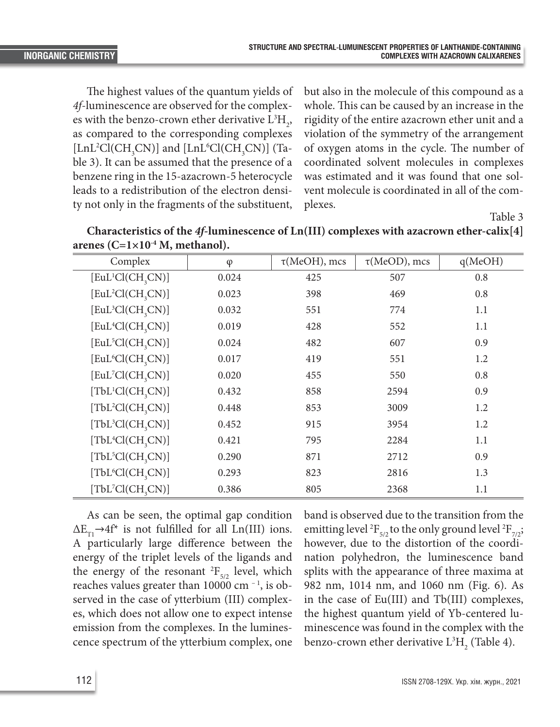The highest values of the quantum yields of *4f*-luminescence are observed for the complexes with the benzo-crown ether derivative  $L^3H_2$ , as compared to the corresponding complexes [LnL<sup>2</sup>Cl(CH<sub>3</sub>CN)] and [LnL<sup>6</sup>Cl(CH<sub>3</sub>CN)] (Table 3). It can be assumed that the presence of a benzene ring in the 15-azacrown-5 heterocycle leads to a redistribution of the electron density not only in the fragments of the substituent,

but also in the molecule of this compound as a whole. This can be caused by an increase in the rigidity of the entire azacrown ether unit and a violation of the symmetry of the arrangement of oxygen atoms in the cycle. The number of coordinated solvent molecules in complexes was estimated and it was found that one solvent molecule is coordinated in all of the complexes.

Table 3

**Characteristics of the** *4f***-luminescence of Ln(III) complexes with azacrown ether-calix[4] arenes (С=1×10-4 M, methanol).**

| Complex                                     | $\varphi$ | $\tau$ (MeOH), mcs | $\tau$ (MeOD), mcs | q(MeOH) |
|---------------------------------------------|-----------|--------------------|--------------------|---------|
| $[EuL1Cl(CH,2CN)]$                          | 0.024     | 425                | 507                | 0.8     |
| [EuL <sup>2</sup> Cl(CH <sub>3</sub> CN)]   | 0.023     | 398                | 469                | 0.8     |
| $[EuL3Cl(CH,2CN)]$                          | 0.032     | 551                | 774                | 1.1     |
| $[EuL4Cl(CH,2CN)]$                          | 0.019     | 428                | 552                | 1.1     |
| $[EuL5Cl(CH,3CN)]$                          | 0.024     | 482                | 607                | 0.9     |
| [EuL <sup>6</sup> Cl(CH,CN)]                | 0.017     | 419                | 551                | 1.2     |
| $[EuL7Cl(CH,3CN)]$                          | 0.020     | 455                | 550                | 0.8     |
| $[{\rm TbL}^1{\rm Cl}({\rm CH}_3{\rm CN})]$ | 0.432     | 858                | 2594               | 0.9     |
| $[TbL2Cl(CH,2CN)]$                          | 0.448     | 853                | 3009               | 1.2     |
| $[TbL3Cl(CH,2CN)]$                          | 0.452     | 915                | 3954               | 1.2     |
| $[TbL4Cl(CH,2CN)]$                          | 0.421     | 795                | 2284               | 1.1     |
| $[TbL5Cl(CH,2CN)]$                          | 0.290     | 871                | 2712               | 0.9     |
| $[{\rm TbL}^6Cl(CH, CN)]$                   | 0.293     | 823                | 2816               | 1.3     |
| $[TbL7Cl(CH,2CN)]$                          | 0.386     | 805                | 2368               | 1.1     |

As can be seen, the optimal gap condition  $\Delta E_{T1} \rightarrow 4f^*$  is not fulfilled for all Ln(III) ions. A particularly large difference between the energy of the triplet levels of the ligands and the energy of the resonant  ${}^{2}F_{5/2}$  level, which reaches values greater than 10000 cm $^{-1}$ , is observed in the case of ytterbium (III) complexes, which does not allow one to expect intense emission from the complexes. In the luminescence spectrum of the ytterbium complex, one

band is observed due to the transition from the emitting level <sup>2</sup>F<sub>5/2</sub> to the only ground level <sup>2</sup>F<sub>7/2</sub>; however, due to the distortion of the coordination polyhedron, the luminescence band splits with the appearance of three maxima at 982 nm, 1014 nm, and 1060 nm (Fig. 6). As in the case of Eu(III) and Tb(III) complexes, the highest quantum yield of Yb-centered luminescence was found in the complex with the benzo-crown ether derivative  $\mathrm{L}^3\mathrm{H}_2^{\phantom 1}$  (Table 4).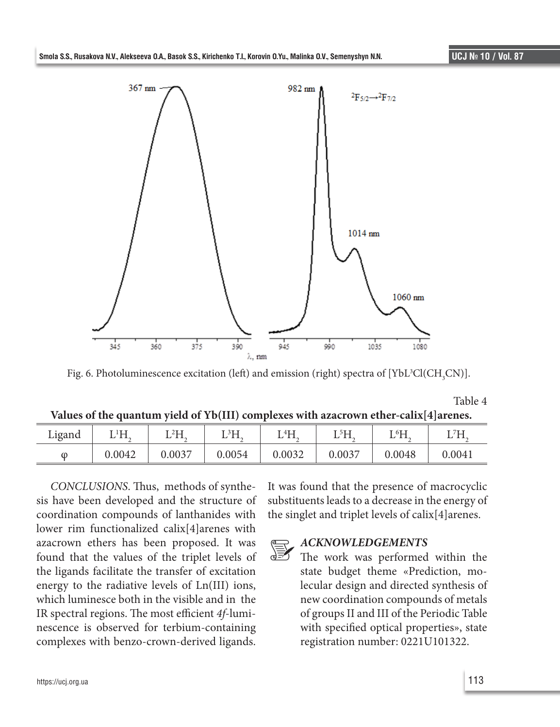

Fig. 6. Photoluminescence excitation (left) and emission (right) spectra of [YbL<sup>3</sup>Cl(CH<sub>3</sub>CN)].

|                                                                                       |  |  | Table 4 |
|---------------------------------------------------------------------------------------|--|--|---------|
| Values of the quantum yield of Yb(III) complexes with azacrown ether-calix[4] arenes. |  |  |         |

| Ligand   | $\rm ^1H$<br>∸ | 2L<br><b>L</b> 11 | 3 <sup>1</sup><br>17 T T | 4H<br>11.<br>⊥ | -5 LJ<br>. | ⊺ 6Ҵ<br>17 T T | 71<br>$\cdot$ 1 1 $\cdot$<br>∸ |
|----------|----------------|-------------------|--------------------------|----------------|------------|----------------|--------------------------------|
| $\omega$ | 0.0042         | 0.0037            | 0.0054                   | 0.0032         | 0.0037     | 0.0048         | 0.0041                         |

*CONCLUSIONS*. Thus, methods of synthesis have been developed and the structure of coordination compounds of lanthanides with lower rim functionalized calix[4]arenes with azacrown ethers has been proposed. It was found that the values of the triplet levels of the ligands facilitate the transfer of excitation energy to the radiative levels of Ln(III) ions, which luminesce both in the visible and in the IR spectral regions. The most efficient *4f*-luminescence is observed for terbium-containing complexes with benzo-crown-derived ligands.

It was found that the presence of macrocyclic substituents leads to a decrease in the energy of the singlet and triplet levels of calix[4]arenes.

## *ACKNOWLEDGEMENTS* 凄

The work was performed within the state budget theme «Prediction, molecular design and directed synthesis of new coordination compounds of metals of groups II and III of the Periodic Table with specified optical properties», state registration number: 0221U101322.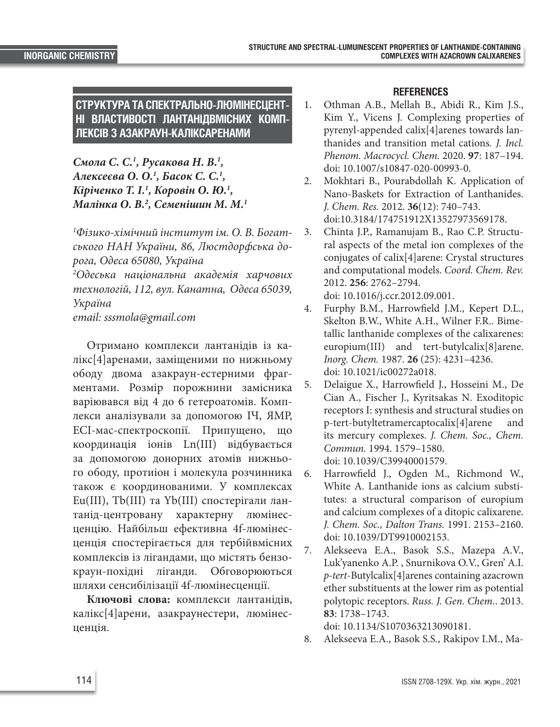**СТРУКТУРА ТА СПЕКТРАЛЬНО-ЛЮМІНЕСЦЕНТ-НІ ВЛАСТИВОСТІ ЛАНТАНІДВМІСНИХ КОМП-ЛЕКСІВ З АЗАКРАУН-КАЛІКСАРЕНАМИ**

*Смола С. С.1 , Русакова Н. В.1 , Алексеєва О. О.1 , Басок С. С.1 , Кіріченко Т. І.1 , Коровін О. Ю.1 , Малінка О. В.2 , Семенішин М. М.1*

*1 Фізико-хімічний інститут ім. О. В. Богатського НАН України, 86, Люстдорфська дорога, Одеса 65080, Україна*

*2 Одеська національна академія харчових технологій, 112, вул. Канатна, Одеса 65039, Україна email: sssmola@gmail.com*

Отримано комплекси лантанідів із калікс[4]аренами, заміщеними по нижньому ободу двома азакраун-естерними фрагментами. Розмір порожнини замісника варіювався від 4 до 6 гетероатомів. Комплекси аналізували за допомогою ІЧ, ЯМР, ЕСІ-мас-спектроскопії. Припущено, що координація іонів Ln(III) відбувається за допомогою донорних атомів нижнього ободу, протиіон і молекула розчинника також є координованими. У комплексах Eu(III), Tb(III) та Yb(III) спостерігали лантанід-центровану характерну люмінесценцію. Найбільш ефективна 4f-люмінесценція спостерігається для тербійвмісних комплексів із лігандами, що містять бензокраун-похідні ліганди. Обговорюються шляхи сенсибілізації 4f-люмінесценції.

**Ключові слова:** комплекси лантанідів, калікс[4]арени, азакраунестери, люмінесценція.

## **REFERENCES**

- 1. Othman A.B., Mellah B., Abidi R., Kim J.S., Kim Y., Vicens J. Complexing properties of pyrenyl-appended calix[4]arenes towards lanthanides and transition metal cations*. J. Incl. Phenom. Macrocycl. Chem.* 2020. **97**: 187–194. doi: 10.1007/s10847-020-00993-0.
- 2. Mokhtari B., Pourabdollah K. Application of Nano-Baskets for Extraction of Lanthanides. *J. Chem. Res.* 2012. **36**(12): 740–743. doi:10.3184/174751912X13527973569178.
- 3. Chinta J.P., Ramanujam B., Rao C.P. Structural aspects of the metal ion complexes of the conjugates of calix[4]arene: Crystal structures and computational models. *Coord. Chem. Rev.* 2012. **256**: 2762–2794. doi: 10.1016/j.ccr.2012.09.001.
- 4. Furphy B.M., Harrowfield J.M., Kepert D.L., Skelton B.W., White A.H., Wilner F.R.. Bimetallic lanthanide complexes of the calixarenes: europium(III) and tert-butylcalix[8]arene. *Inorg. Chem.* 1987. **26** (25): 4231–4236. doi: 10.1021/ic00272a018.
- 5. Delaigue X., Harrowfield J., Hosseini M., De Cian A., Fischer J., Kyritsakas N. Exoditopic receptors I: synthesis and structural studies on p-tert-butyltetramercaptocalix[4]arene and its mercury complexes. *J. Chem. Soc., Chem. Commun.* 1994. 1579–1580. doi: 10.1039/C39940001579.
- 6. Harrowfield J., Ogden M., Richmond W., White A. Lanthanide ions as calcium substitutes: a structural comparison of europium and calcium complexes of a ditopic calixarene. *J. Chem. Soc., Dalton Trans.* 1991. 2153–2160. doi: 10.1039/DT9910002153.
- 7. Alekseeva E.A., Basok S.S., Mazepa A.V., Luk'yanenko A.P. , Snurnikova O.V., Gren' A.I. *p-tert*-Butylcalix[4]arenes containing azacrown ether substituents at the lower rim as potential polytopic receptors. *Russ. J. Gen. Chem.*. 2013. **83**: 1738–1743.

doi: 10.1134/S1070363213090181.

8. Alekseeva E.A., Basok S.S., Rakipov I.M., Ma-